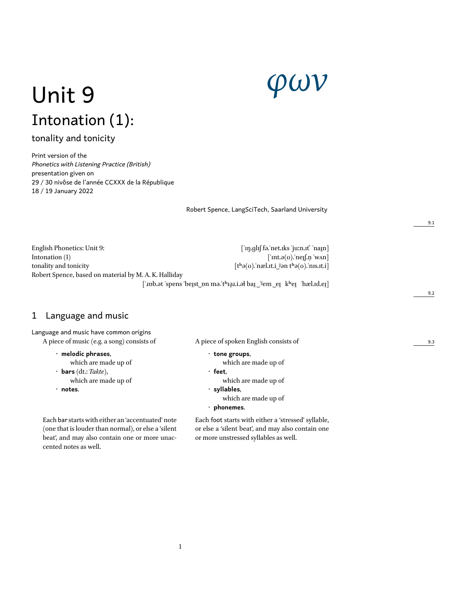# *φων*

# Unit 9 Intonation (1):

# tonality and tonicity

Print version of the *Phonetics with Listening Practice (British)* presentation given on 29 / 30 nivôse de l'année CCXXX de la République 18 / 19 January 2022

Robert Spence, LangSciTech, Saarland University

English Phonetics: Unit 9: [ˈɪŋ.ɡlɪʃ fə.ˈnet.ɪks ˈjuːn.ɪt' ˈnaɪ̯n] Intonation (1)  $\int' \text{int.} \varphi(\mathbf{r}) \cdot \text{ln} \mathbf{r} \cdot d\mathbf{r}$  [ $\int' \text{int.} \varphi(\mathbf{r}) \cdot \text{ln} \mathbf{r} \cdot d\mathbf{r}$ ] tonality and tonicity  $[t^b\Theta(0). \text{in} \mathbb{R}].$   $[t^b\Theta(0). \text{in} \mathbb{R}].$   $[t^b\Theta(0). \text{in} \mathbb{R}].$ Robert Spence, based on material by M. A. K. Halliday

9.1

9.2

9.3

[' $\text{vbb}$ .ət 'spens 'beɪ̯st\_pn mə.'tʰɪə̯ɪ.i.əł baɪ̯  $\text{vlem}$ \_er̯ kʰeɪ̯ 'hæl.ɪd.eɪ̯]

# 1 Language and music

| Language and music have common origins     |  |
|--------------------------------------------|--|
| A piece of music (e.g. a song) consists of |  |

- **melodic phrases**, which are made up of
- **bars** (dt.: *Takte*),
- which are made up of
- **notes**.

Each bar starts with either an 'accentuated' note (one that is louder than normal), or else a 'silent beat', and may also contain one or more unaccented notes as well.

A piece of spoken English consists of

- **tone groups**,
	- which are made up of
- **feet**,
	- which are made up of
- **syllables**,
	- which are made up of
- **phonemes**.

Each foot starts with either a 'stressed' syllable, or else a 'silent beat', and may also contain one or more unstressed syllables as well.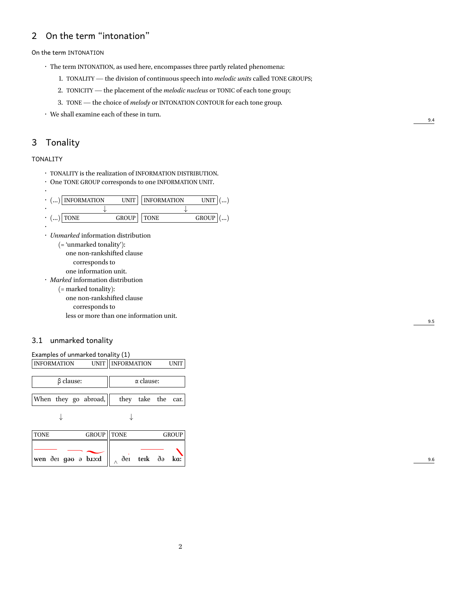# 2 On the term "intonation"

On the term INTONATION

- The term INTONATION, as used here, encompasses three partly related phenomena:
	- 1. TONALITY the division of continuous speech into *melodic units* called TONE GROUPS;
	- 2. TONICITY the placement of the *melodic nucleus* or TONIC of each tone group;
	- 3. TONE the choice of *melody* or INTONATION CONTOUR for each tone group.

• We shall examine each of these in turn.

# 3 Tonality

#### TONALITY

•

- TONALITY is the realization of INFORMATION DISTRIBUTION.
- One TONE GROUP corresponds to one INFORMATION UNIT.

| $\cdot$ () INFORMATION |              | UNIT   INFORMATION | UNIT   (         |
|------------------------|--------------|--------------------|------------------|
|                        |              |                    |                  |
| $\cdot$ () TONE        | <b>GROUP</b> | <b>TONE</b>        | GROUP $\vert$ () |
|                        |              |                    |                  |

• *Unmarked* information distribution (= 'unmarked tonality'): one non-rankshifted clause corresponds to one information unit. • *Marked* information distribution (= marked tonality): one non-rankshifted clause corresponds to

less or more than one information unit.

#### 3.1 unmarked tonality

| Examples of unmarked tonality (1) |                     |                  |                    |      |  |  |  |  |
|-----------------------------------|---------------------|------------------|--------------------|------|--|--|--|--|
| <b>INFORMATION</b>                | UNIT    INFORMATION |                  |                    | UNIT |  |  |  |  |
|                                   |                     |                  |                    |      |  |  |  |  |
| $\beta$ clause:                   |                     | $\alpha$ clause: |                    |      |  |  |  |  |
|                                   |                     |                  |                    |      |  |  |  |  |
| When they go abroad, $\parallel$  |                     |                  | they take the car. |      |  |  |  |  |
|                                   |                     |                  |                    |      |  |  |  |  |

| $\rightarrow$ |  | $\downarrow$ |
|---------------|--|--------------|
|               |  |              |

| <b>TONE</b>                                              | <b>GROUP    TONE</b> |  | GROUP |
|----------------------------------------------------------|----------------------|--|-------|
| wen der goo o bioid $\parallel$ $\wedge$ der terk do ka: |                      |  |       |
|                                                          |                      |  |       |

9.4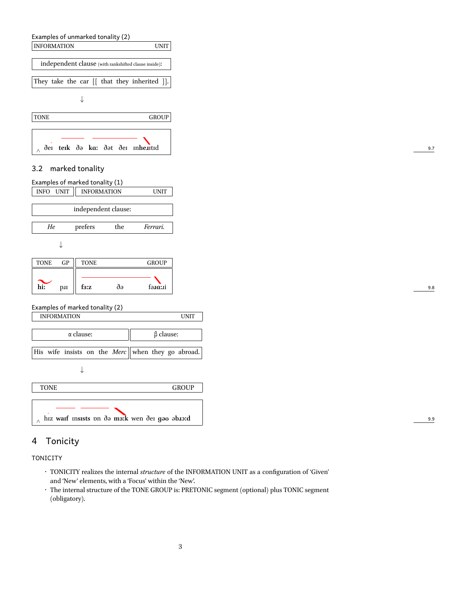



## 3.2 marked tonality

| Examples of marked tonality (1)                                                             |
|---------------------------------------------------------------------------------------------|
| INFO UNIT<br><b>INFORMATION</b><br>UNIT                                                     |
| independent clause:                                                                         |
| prefers<br>the<br>He<br>Ferrari.                                                            |
| ✦                                                                                           |
| ${\rm GP}$<br>GROUP<br><b>TONE</b><br><b>TONE</b>                                           |
| $\sum_{\text{hi}}$<br>$\delta \theta$<br>f <sub>3</sub> :z<br>$f$ $a$ $n$ $n$ $n$ $i$<br>pu |
| Examples of marked tonality (2)<br><b>INFORMATION</b>                                       |

| $\alpha$ clause:                                  | $\beta$ clause: |
|---------------------------------------------------|-----------------|
| His wife insists on the Merc when they go abroad. |                 |
|                                                   |                 |
| <b>TONE</b>                                       | <b>GROUP</b>    |
|                                                   |                 |
| hız warf msısts on də ma:k wen der goo abro:d     |                 |

# 4 Tonicity

TONICITY

- TONICITY realizes the internal *structure* of the INFORMATION UNIT as a configuration of 'Given' and 'New' elements, with a 'Focus' within the 'New'.
- The internal structure of the TONE GROUP is: PRETONIC segment (optional) plus TONIC segment (obligatory).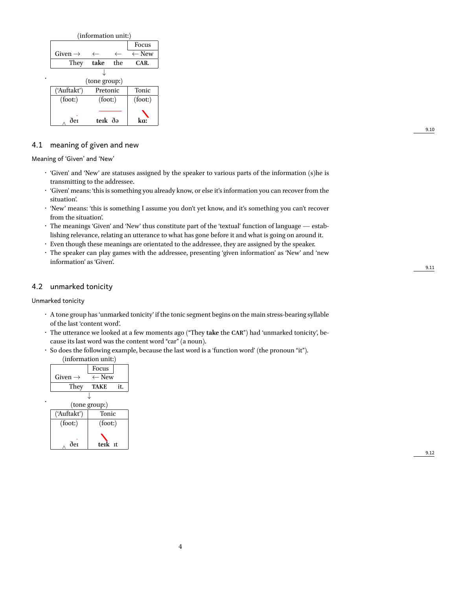| (information unit:) |               |     |                  |  |  |  |
|---------------------|---------------|-----|------------------|--|--|--|
|                     |               |     | Focus            |  |  |  |
| Given $\rightarrow$ |               |     | $\leftarrow$ New |  |  |  |
| They                | take          | the | CAR.             |  |  |  |
|                     |               |     |                  |  |  |  |
|                     | (tone group:) |     |                  |  |  |  |
| ('Auftakt')         | Pretonic      |     | <b>Tonic</b>     |  |  |  |
| (foot: )            | (foot: )      |     | (foot.)          |  |  |  |
|                     |               |     |                  |  |  |  |
| ðer                 | terk ðə       |     | ka.              |  |  |  |

#### 4.1 meaning of given and new

Meaning of 'Given' and 'New'

•

- 'Given' and 'New' are statuses assigned by the speaker to various parts of the information (s)he is transmitting to the addressee.
- 'Given' means: 'this is something you already know, or else it's information you can recover from the situation'.
- 'New' means: 'this is something I assume you don't yet know, and it's something you can't recover from the situation'.
- The meanings 'Given' and 'New' thus constitute part of the 'textual' function of language establishing relevance, relating an utterance to what has gone before it and what is going on around it.
- Even though these meanings are orientated to the addressee, they are assigned by the speaker.
- The speaker can play games with the addressee, presenting 'given information' as 'New' and 'new information' as 'Given'.

#### 4.2 unmarked tonicity

Unmarked tonicity

- A tone group has 'unmarked tonicity' if the tonic segment begins on the main stress-bearing syllable of the last 'content word'.
- The utterance we looked at a few moments ago ("They **take** the **CAR**") had 'unmarked tonicity', because its last word was the content word "car" (a noun).
- So does the following example, because the last word is a 'function word' (the pronoun "it").

|  | (information unit:)  |                  |     |  |  |  |  |  |  |
|--|----------------------|------------------|-----|--|--|--|--|--|--|
|  |                      | Focus            |     |  |  |  |  |  |  |
|  | Given $\rightarrow$  | $\leftarrow$ New |     |  |  |  |  |  |  |
|  | They                 | <b>TAKE</b>      | it. |  |  |  |  |  |  |
|  | (tone group:)        |                  |     |  |  |  |  |  |  |
|  |                      |                  |     |  |  |  |  |  |  |
|  | ('Auftakt')<br>Tonic |                  |     |  |  |  |  |  |  |
|  | (foot: )             | (foot: )         |     |  |  |  |  |  |  |
|  |                      |                  |     |  |  |  |  |  |  |
|  | ðer                  | terk rt          |     |  |  |  |  |  |  |

9.12